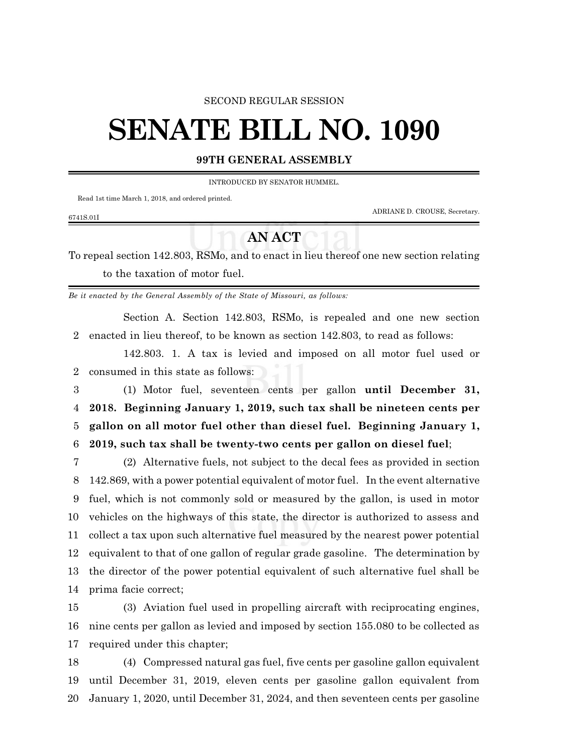### SECOND REGULAR SESSION

# **SENATE BILL NO. 1090**

## **99TH GENERAL ASSEMBLY**

INTRODUCED BY SENATOR HUMMEL.

Read 1st time March 1, 2018, and ordered printed.

ADRIANE D. CROUSE, Secretary.

#### 6741S.01I

## **AN ACT**

To repeal section 142.803, RSMo, and to enact in lieu thereof one new section relating to the taxation of motor fuel.

*Be it enacted by the General Assembly of the State of Missouri, as follows:*

Section A. Section 142.803, RSMo, is repealed and one new section enacted in lieu thereof, to be known as section 142.803, to read as follows:

142.803. 1. A tax is levied and imposed on all motor fuel used or consumed in this state as follows:

 (1) Motor fuel, seventeen cents per gallon **until December 31, 2018. Beginning January 1, 2019, such tax shall be nineteen cents per gallon on all motor fuel other than diesel fuel. Beginning January 1, 2019, such tax shall be twenty-two cents per gallon on diesel fuel**;

 (2) Alternative fuels, not subject to the decal fees as provided in section 142.869, with a power potential equivalent of motor fuel. In the event alternative fuel, which is not commonly sold or measured by the gallon, is used in motor vehicles on the highways of this state, the director is authorized to assess and collect a tax upon such alternative fuel measured by the nearest power potential equivalent to that of one gallon of regular grade gasoline. The determination by the director of the power potential equivalent of such alternative fuel shall be prima facie correct;

 (3) Aviation fuel used in propelling aircraft with reciprocating engines, nine cents per gallon as levied and imposed by section 155.080 to be collected as required under this chapter;

 (4) Compressed natural gas fuel, five cents per gasoline gallon equivalent until December 31, 2019, eleven cents per gasoline gallon equivalent from January 1, 2020, until December 31, 2024, and then seventeen cents per gasoline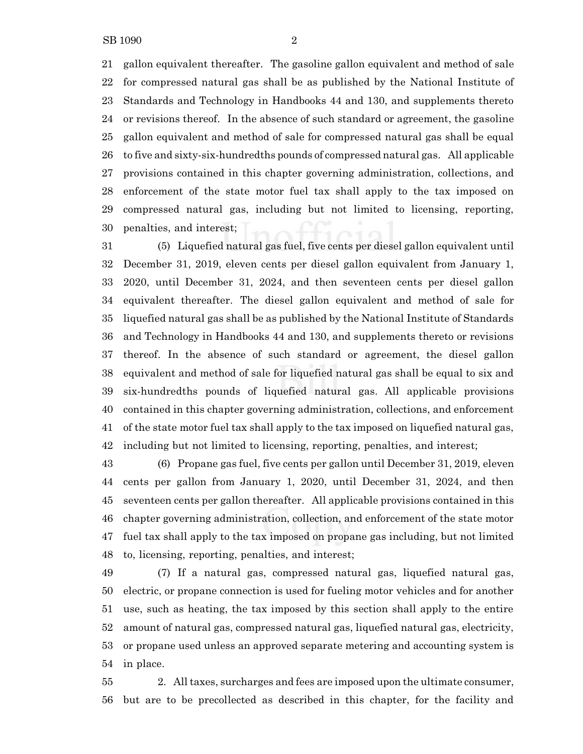gallon equivalent thereafter. The gasoline gallon equivalent and method of sale for compressed natural gas shall be as published by the National Institute of Standards and Technology in Handbooks 44 and 130, and supplements thereto or revisions thereof. In the absence of such standard or agreement, the gasoline gallon equivalent and method of sale for compressed natural gas shall be equal to five and sixty-six-hundredths pounds of compressed natural gas. All applicable provisions contained in this chapter governing administration, collections, and enforcement of the state motor fuel tax shall apply to the tax imposed on compressed natural gas, including but not limited to licensing, reporting, penalties, and interest;

 (5) Liquefied natural gas fuel, five cents per diesel gallon equivalent until December 31, 2019, eleven cents per diesel gallon equivalent from January 1, 2020, until December 31, 2024, and then seventeen cents per diesel gallon equivalent thereafter. The diesel gallon equivalent and method of sale for liquefied natural gas shall be as published by the National Institute of Standards and Technology in Handbooks 44 and 130, and supplements thereto or revisions thereof. In the absence of such standard or agreement, the diesel gallon equivalent and method of sale for liquefied natural gas shall be equal to six and six-hundredths pounds of liquefied natural gas. All applicable provisions contained in this chapter governing administration, collections, and enforcement of the state motor fuel tax shall apply to the tax imposed on liquefied natural gas, including but not limited to licensing, reporting, penalties, and interest;

 (6) Propane gas fuel, five cents per gallon until December 31, 2019, eleven cents per gallon from January 1, 2020, until December 31, 2024, and then seventeen cents per gallon thereafter. All applicable provisions contained in this chapter governing administration, collection, and enforcement of the state motor fuel tax shall apply to the tax imposed on propane gas including, but not limited to, licensing, reporting, penalties, and interest;

 (7) If a natural gas, compressed natural gas, liquefied natural gas, electric, or propane connection is used for fueling motor vehicles and for another use, such as heating, the tax imposed by this section shall apply to the entire amount of natural gas, compressed natural gas, liquefied natural gas, electricity, or propane used unless an approved separate metering and accounting system is in place.

 2. Alltaxes, surcharges and fees are imposed upon the ultimate consumer, but are to be precollected as described in this chapter, for the facility and